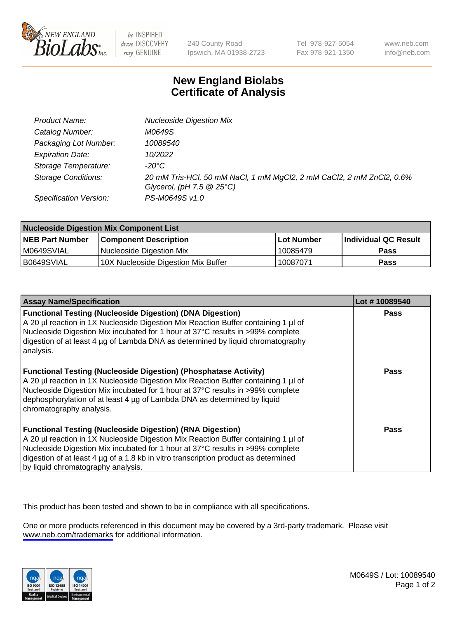

be INSPIRED drive DISCOVERY stay GENUINE

240 County Road Ipswich, MA 01938-2723 Tel 978-927-5054 Fax 978-921-1350

www.neb.com info@neb.com

## **New England Biolabs Certificate of Analysis**

| Product Name:              | <b>Nucleoside Digestion Mix</b>                                                                               |
|----------------------------|---------------------------------------------------------------------------------------------------------------|
| Catalog Number:            | M0649S                                                                                                        |
| Packaging Lot Number:      | 10089540                                                                                                      |
| <b>Expiration Date:</b>    | 10/2022                                                                                                       |
| Storage Temperature:       | -20°C                                                                                                         |
| <b>Storage Conditions:</b> | 20 mM Tris-HCl, 50 mM NaCl, 1 mM MgCl2, 2 mM CaCl2, 2 mM ZnCl2, 0.6%<br>Glycerol, (pH $7.5 \ @ 25^{\circ}C$ ) |
| Specification Version:     | PS-M0649S v1.0                                                                                                |

| <b>Nucleoside Digestion Mix Component List</b> |                                     |            |                      |  |
|------------------------------------------------|-------------------------------------|------------|----------------------|--|
| <b>NEB Part Number</b>                         | <b>Component Description</b>        | Lot Number | Individual QC Result |  |
| M0649SVIAL                                     | Nucleoside Digestion Mix            | 10085479   | <b>Pass</b>          |  |
| B0649SVIAL                                     | 10X Nucleoside Digestion Mix Buffer | 10087071   | Pass                 |  |

| <b>Assay Name/Specification</b>                                                                                                                                                                                                                                                                                                                                       | Lot #10089540 |
|-----------------------------------------------------------------------------------------------------------------------------------------------------------------------------------------------------------------------------------------------------------------------------------------------------------------------------------------------------------------------|---------------|
| <b>Functional Testing (Nucleoside Digestion) (DNA Digestion)</b><br>A 20 µl reaction in 1X Nucleoside Digestion Mix Reaction Buffer containing 1 µl of<br>Nucleoside Digestion Mix incubated for 1 hour at 37°C results in >99% complete<br>digestion of at least 4 µg of Lambda DNA as determined by liguid chromatography<br>analysis.                              | <b>Pass</b>   |
| <b>Functional Testing (Nucleoside Digestion) (Phosphatase Activity)</b><br>A 20 µl reaction in 1X Nucleoside Digestion Mix Reaction Buffer containing 1 µl of<br>Nucleoside Digestion Mix incubated for 1 hour at 37°C results in >99% complete<br>dephosphorylation of at least 4 µg of Lambda DNA as determined by liquid<br>chromatography analysis.               | Pass          |
| <b>Functional Testing (Nucleoside Digestion) (RNA Digestion)</b><br>A 20 µl reaction in 1X Nucleoside Digestion Mix Reaction Buffer containing 1 µl of<br>Nucleoside Digestion Mix incubated for 1 hour at 37°C results in >99% complete<br>digestion of at least 4 µg of a 1.8 kb in vitro transcription product as determined<br>by liquid chromatography analysis. | Pass          |

This product has been tested and shown to be in compliance with all specifications.

One or more products referenced in this document may be covered by a 3rd-party trademark. Please visit <www.neb.com/trademarks>for additional information.